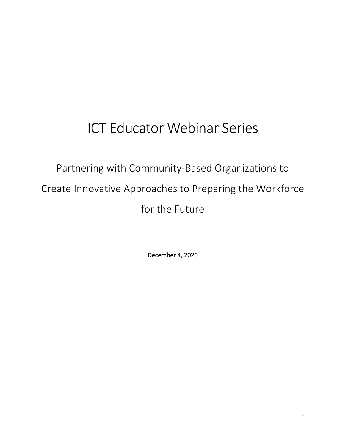# ICT Educator Webinar Series

Partnering with Community-Based Organizations to Create Innovative Approaches to Preparing the Workforce for the Future

December 4, 2020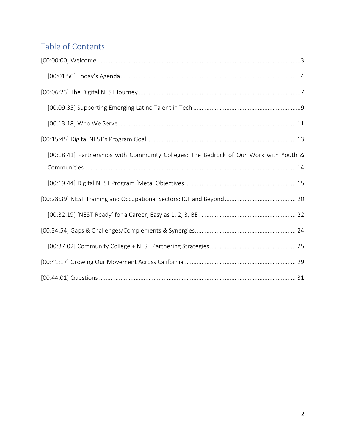## Table of Contents

| [00:18:41] Partnerships with Community Colleges: The Bedrock of Our Work with Youth & |
|---------------------------------------------------------------------------------------|
|                                                                                       |
|                                                                                       |
|                                                                                       |
|                                                                                       |
|                                                                                       |
|                                                                                       |
|                                                                                       |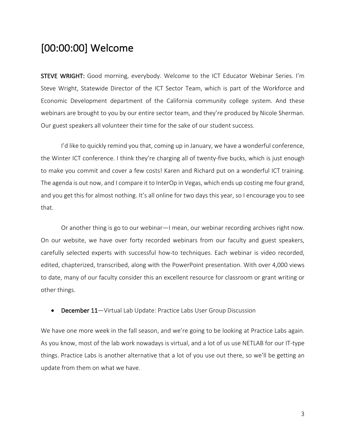## [00:00:00] Welcome

STEVE WRIGHT: Good morning, everybody. Welcome to the ICT Educator Webinar Series. I'm Steve Wright, Statewide Director of the ICT Sector Team, which is part of the Workforce and Economic Development department of the California community college system. And these webinars are brought to you by our entire sector team, and they're produced by Nicole Sherman. Our guest speakers all volunteer their time for the sake of our student success.

I'd like to quickly remind you that, coming up in January, we have a wonderful conference, the Winter ICT conference. I think they're charging all of twenty-five bucks, which is just enough to make you commit and cover a few costs! Karen and Richard put on a wonderful ICT training. The agenda is out now, and I compare it to InterOp in Vegas, which ends up costing me four grand, and you get this for almost nothing. It's all online for two days this year, so I encourage you to see that.

Or another thing is go to our webinar—I mean, our webinar recording archives right now. On our website, we have over forty recorded webinars from our faculty and guest speakers, carefully selected experts with successful how-to techniques. Each webinar is video recorded, edited, chapterized, transcribed, along with the PowerPoint presentation. With over 4,000 views to date, many of our faculty consider this an excellent resource for classroom or grant writing or other things.

• December 11-Virtual Lab Update: Practice Labs User Group Discussion

We have one more week in the fall season, and we're going to be looking at Practice Labs again. As you know, most of the lab work nowadays is virtual, and a lot of us use NETLAB for our IT-type things. Practice Labs is another alternative that a lot of you use out there, so we'll be getting an update from them on what we have.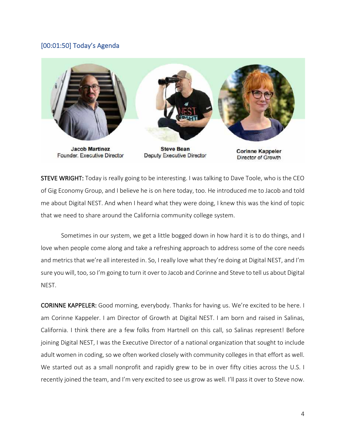#### [00:01:50] Today's Agenda



Founder, Executive Director

**Deputy Executive Director** 

**Corinne Kappeler** Director of Growth

STEVE WRIGHT: Today is really going to be interesting. I was talking to Dave Toole, who is the CEO of Gig Economy Group, and I believe he is on here today, too. He introduced me to Jacob and told me about Digital NEST. And when I heard what they were doing, I knew this was the kind of topic that we need to share around the California community college system.

Sometimes in our system, we get a little bogged down in how hard it is to do things, and I love when people come along and take a refreshing approach to address some of the core needs and metrics that we're all interested in. So, I really love what they're doing at Digital NEST, and I'm sure you will, too, so I'm going to turn it over to Jacob and Corinne and Steve to tell us about Digital NEST.

CORINNE KAPPELER: Good morning, everybody. Thanks for having us. We're excited to be here. I am Corinne Kappeler. I am Director of Growth at Digital NEST. I am born and raised in Salinas, California. I think there are a few folks from Hartnell on this call, so Salinas represent! Before joining Digital NEST, I was the Executive Director of a national organization that sought to include adult women in coding, so we often worked closely with community colleges in that effort as well. We started out as a small nonprofit and rapidly grew to be in over fifty cities across the U.S. I recently joined the team, and I'm very excited to see us grow as well. I'll pass it over to Steve now.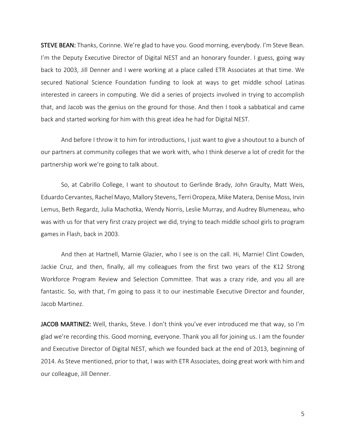STEVE BEAN: Thanks, Corinne. We're glad to have you. Good morning, everybody. I'm Steve Bean. I'm the Deputy Executive Director of Digital NEST and an honorary founder. I guess, going way back to 2003, Jill Denner and I were working at a place called ETR Associates at that time. We secured National Science Foundation funding to look at ways to get middle school Latinas interested in careers in computing. We did a series of projects involved in trying to accomplish that, and Jacob was the genius on the ground for those. And then I took a sabbatical and came back and started working for him with this great idea he had for Digital NEST.

And before I throw it to him for introductions, I just want to give a shoutout to a bunch of our partners at community colleges that we work with, who I think deserve a lot of credit for the partnership work we're going to talk about.

So, at Cabrillo College, I want to shoutout to Gerlinde Brady, John Graulty, Matt Weis, Eduardo Cervantes, Rachel Mayo, Mallory Stevens, Terri Oropeza, Mike Matera, Denise Moss, Irvin Lemus, Beth Regardz, Julia Machotka, Wendy Norris, Leslie Murray, and Audrey Blumeneau, who was with us for that very first crazy project we did, trying to teach middle school girls to program games in Flash, back in 2003.

And then at Hartnell, Marnie Glazier, who I see is on the call. Hi, Marnie! Clint Cowden, Jackie Cruz, and then, finally, all my colleagues from the first two years of the K12 Strong Workforce Program Review and Selection Committee. That was a crazy ride, and you all are fantastic. So, with that, I'm going to pass it to our inestimable Executive Director and founder, Jacob Martinez.

JACOB MARTINEZ: Well, thanks, Steve. I don't think you've ever introduced me that way, so I'm glad we're recording this. Good morning, everyone. Thank you all for joining us. I am the founder and Executive Director of Digital NEST, which we founded back at the end of 2013, beginning of 2014. As Steve mentioned, prior to that, I was with ETR Associates, doing great work with him and our colleague, Jill Denner.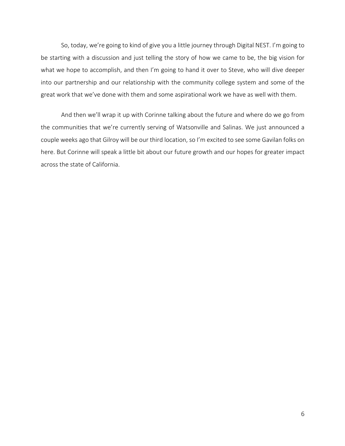So, today, we're going to kind of give you a little journey through Digital NEST. I'm going to be starting with a discussion and just telling the story of how we came to be, the big vision for what we hope to accomplish, and then I'm going to hand it over to Steve, who will dive deeper into our partnership and our relationship with the community college system and some of the great work that we've done with them and some aspirational work we have as well with them.

And then we'll wrap it up with Corinne talking about the future and where do we go from the communities that we're currently serving of Watsonville and Salinas. We just announced a couple weeks ago that Gilroy will be our third location, so I'm excited to see some Gavilan folks on here. But Corinne will speak a little bit about our future growth and our hopes for greater impact across the state of California.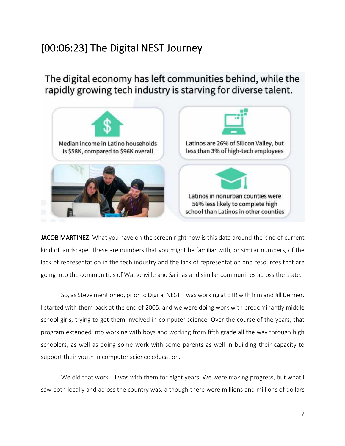## [00:06:23] The Digital NEST Journey

The digital economy has left communities behind, while the rapidly growing tech industry is starving for diverse talent.



JACOB MARTINEZ: What you have on the screen right now is this data around the kind of current kind of landscape. These are numbers that you might be familiar with, or similar numbers, of the lack of representation in the tech industry and the lack of representation and resources that are going into the communities of Watsonville and Salinas and similar communities across the state.

So, as Steve mentioned, prior to Digital NEST, I was working at ETR with him and Jill Denner. I started with them back at the end of 2005, and we were doing work with predominantly middle school girls, trying to get them involved in computer science. Over the course of the years, that program extended into working with boys and working from fifth grade all the way through high schoolers, as well as doing some work with some parents as well in building their capacity to support their youth in computer science education.

We did that work... I was with them for eight years. We were making progress, but what I saw both locally and across the country was, although there were millions and millions of dollars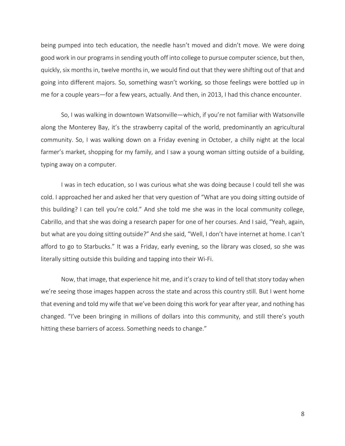being pumped into tech education, the needle hasn't moved and didn't move. We were doing good work in our programs in sending youth off into college to pursue computer science, but then, quickly, six months in, twelve months in, we would find out that they were shifting out of that and going into different majors. So, something wasn't working, so those feelings were bottled up in me for a couple years—for a few years, actually. And then, in 2013, I had this chance encounter.

So, I was walking in downtown Watsonville—which, if you're not familiar with Watsonville along the Monterey Bay, it's the strawberry capital of the world, predominantly an agricultural community. So, I was walking down on a Friday evening in October, a chilly night at the local farmer's market, shopping for my family, and I saw a young woman sitting outside of a building, typing away on a computer.

I was in tech education, so I was curious what she was doing because I could tell she was cold. I approached her and asked her that very question of "What are you doing sitting outside of this building? I can tell you're cold." And she told me she was in the local community college, Cabrillo, and that she was doing a research paper for one of her courses. And I said, "Yeah, again, but what are you doing sitting outside?" And she said, "Well, I don't have internet at home. I can't afford to go to Starbucks." It was a Friday, early evening, so the library was closed, so she was literally sitting outside this building and tapping into their Wi-Fi.

Now, that image, that experience hit me, and it's crazy to kind of tell that story today when we're seeing those images happen across the state and across this country still. But I went home that evening and told my wife that we've been doing this work for year after year, and nothing has changed. "I've been bringing in millions of dollars into this community, and still there's youth hitting these barriers of access. Something needs to change."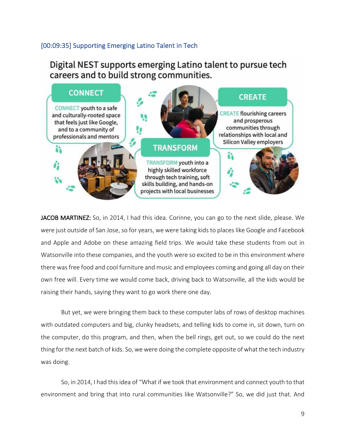### [00:09:35] Supporting Emerging Latino Talent in Tech

Digital NEST supports emerging Latino talent to pursue tech careers and to build strong communities.



JACOB MARTINEZ: So, in 2014, I had this idea. Corinne, you can go to the next slide, please. We were just outside of San Jose, so for years, we were taking kids to places like Google and Facebook and Apple and Adobe on these amazing field trips. We would take these students from out in Watsonville into these companies, and the youth were so excited to be in this environment where there was free food and cool furniture and music and employees coming and going all day on their own free will. Every time we would come back, driving back to Watsonville, all the kids would be raising their hands, saying they want to go work there one day.

But yet, we were bringing them back to these computer labs of rows of desktop machines with outdated computers and big, clunky headsets, and telling kids to come in, sit down, turn on the computer, do this program, and then, when the bell rings, get out, so we could do the next thing for the next batch of kids. So, we were doing the complete opposite of what the tech industry was doing.

So, in 2014, I had this idea of "What if we took that environment and connect youth to that environment and bring that into rural communities like Watsonville?" So, we did just that. And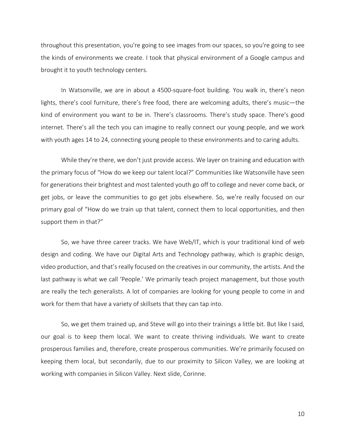throughout this presentation, you're going to see images from our spaces, so you're going to see the kinds of environments we create. I took that physical environment of a Google campus and brought it to youth technology centers.

In Watsonville, we are in about a 4500-square-foot building. You walk in, there's neon lights, there's cool furniture, there's free food, there are welcoming adults, there's music—the kind of environment you want to be in. There's classrooms. There's study space. There's good internet. There's all the tech you can imagine to really connect our young people, and we work with youth ages 14 to 24, connecting young people to these environments and to caring adults.

While they're there, we don't just provide access. We layer on training and education with the primary focus of "How do we keep our talent local?" Communities like Watsonville have seen for generations their brightest and most talented youth go off to college and never come back, or get jobs, or leave the communities to go get jobs elsewhere. So, we're really focused on our primary goal of "How do we train up that talent, connect them to local opportunities, and then support them in that?"

So, we have three career tracks. We have Web/IT, which is your traditional kind of web design and coding. We have our Digital Arts and Technology pathway, which is graphic design, video production, and that's really focused on the creatives in our community, the artists. And the last pathway is what we call 'People.' We primarily teach project management, but those youth are really the tech generalists. A lot of companies are looking for young people to come in and work for them that have a variety of skillsets that they can tap into.

So, we get them trained up, and Steve will go into their trainings a little bit. But like I said, our goal is to keep them local. We want to create thriving individuals. We want to create prosperous families and, therefore, create prosperous communities. We're primarily focused on keeping them local, but secondarily, due to our proximity to Silicon Valley, we are looking at working with companies in Silicon Valley. Next slide, Corinne.

10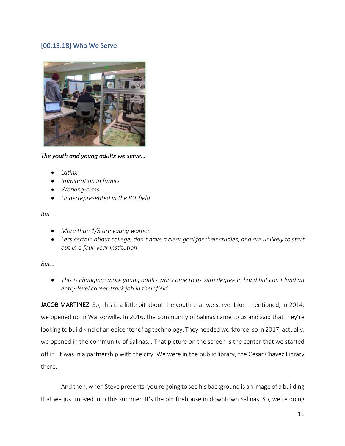### [00:13:18] Who We Serve



#### *The youth and young adults we serve…*

- *Latinx*
- *Immigration in family*
- *Working-class*
- *Underrepresented in the ICT field*

#### *But…*

- *More than 1/3 are young women*
- *Less certain about college, don't have a clear goal for their studies, and are unlikely to start out in a four-year institution*

### *But…*

• *This is changing: more young adults who come to us with degree in hand but can't land an entry-level career-track job in their field*

JACOB MARTINEZ: So, this is a little bit about the youth that we serve. Like I mentioned, in 2014, we opened up in Watsonville. In 2016, the community of Salinas came to us and said that they're looking to build kind of an epicenter of ag technology. They needed workforce, so in 2017, actually, we opened in the community of Salinas… That picture on the screen is the center that we started off in. It was in a partnership with the city. We were in the public library, the Cesar Chavez Library there.

And then, when Steve presents, you're going to see his background is an image of a building that we just moved into this summer. It's the old firehouse in downtown Salinas. So, we're doing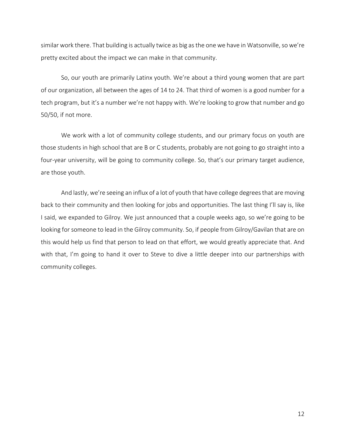similar work there. That building is actually twice as big as the one we have in Watsonville, so we're pretty excited about the impact we can make in that community.

So, our youth are primarily Latinx youth. We're about a third young women that are part of our organization, all between the ages of 14 to 24. That third of women is a good number for a tech program, but it's a number we're not happy with. We're looking to grow that number and go 50/50, if not more.

We work with a lot of community college students, and our primary focus on youth are those students in high school that are B or C students, probably are not going to go straight into a four-year university, will be going to community college. So, that's our primary target audience, are those youth.

And lastly, we're seeing an influx of a lot of youth that have college degrees that are moving back to their community and then looking for jobs and opportunities. The last thing I'll say is, like I said, we expanded to Gilroy. We just announced that a couple weeks ago, so we're going to be looking for someone to lead in the Gilroy community. So, if people from Gilroy/Gavilan that are on this would help us find that person to lead on that effort, we would greatly appreciate that. And with that, I'm going to hand it over to Steve to dive a little deeper into our partnerships with community colleges.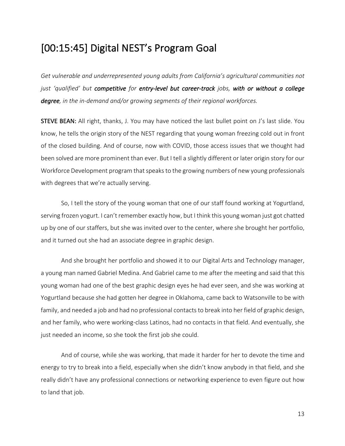## [00:15:45] Digital NEST's Program Goal

*Get vulnerable and underrepresented young adults from California's agricultural communities not just 'qualified' but competitive for entry-level but career-track jobs, with or without a college degree, in the in-demand and/or growing segments of their regional workforces.*

STEVE BEAN: All right, thanks, J. You may have noticed the last bullet point on J's last slide. You know, he tells the origin story of the NEST regarding that young woman freezing cold out in front of the closed building. And of course, now with COVID, those access issues that we thought had been solved are more prominent than ever. But I tell a slightly different or later origin story for our Workforce Development program that speaks to the growing numbers of new young professionals with degrees that we're actually serving.

So, I tell the story of the young woman that one of our staff found working at Yogurtland, serving frozen yogurt. I can't remember exactly how, but I think this young woman just got chatted up by one of our staffers, but she was invited over to the center, where she brought her portfolio, and it turned out she had an associate degree in graphic design.

And she brought her portfolio and showed it to our Digital Arts and Technology manager, a young man named Gabriel Medina. And Gabriel came to me after the meeting and said that this young woman had one of the best graphic design eyes he had ever seen, and she was working at Yogurtland because she had gotten her degree in Oklahoma, came back to Watsonville to be with family, and needed a job and had no professional contacts to break into her field of graphic design, and her family, who were working-class Latinos, had no contacts in that field. And eventually, she just needed an income, so she took the first job she could.

And of course, while she was working, that made it harder for her to devote the time and energy to try to break into a field, especially when she didn't know anybody in that field, and she really didn't have any professional connections or networking experience to even figure out how to land that job.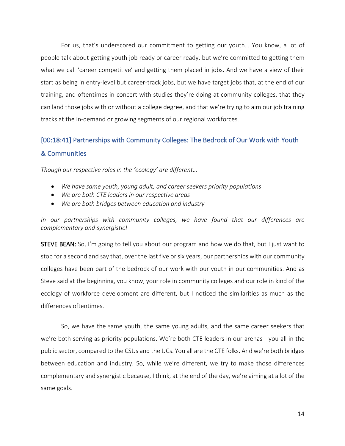For us, that's underscored our commitment to getting our youth… You know, a lot of people talk about getting youth job ready or career ready, but we're committed to getting them what we call 'career competitive' and getting them placed in jobs. And we have a view of their start as being in entry-level but career-track jobs, but we have target jobs that, at the end of our training, and oftentimes in concert with studies they're doing at community colleges, that they can land those jobs with or without a college degree, and that we're trying to aim our job training tracks at the in-demand or growing segments of our regional workforces.

## [00:18:41] Partnerships with Community Colleges: The Bedrock of Our Work with Youth & Communities

*Though our respective roles in the 'ecology' are different…*

- *We have same youth, young adult, and career seekers priority populations*
- *We are both CTE leaders in our respective areas*
- *We are both bridges between education and industry*

*In our partnerships with community colleges, we have found that our differences are complementary and synergistic!*

**STEVE BEAN:** So, I'm going to tell you about our program and how we do that, but I just want to stop for a second and say that, over the last five or six years, our partnerships with our community colleges have been part of the bedrock of our work with our youth in our communities. And as Steve said at the beginning, you know, your role in community colleges and our role in kind of the ecology of workforce development are different, but I noticed the similarities as much as the differences oftentimes.

So, we have the same youth, the same young adults, and the same career seekers that we're both serving as priority populations. We're both CTE leaders in our arenas—you all in the public sector, compared to the CSUs and the UCs. You all are the CTE folks. And we're both bridges between education and industry. So, while we're different, we try to make those differences complementary and synergistic because, I think, at the end of the day, we're aiming at a lot of the same goals.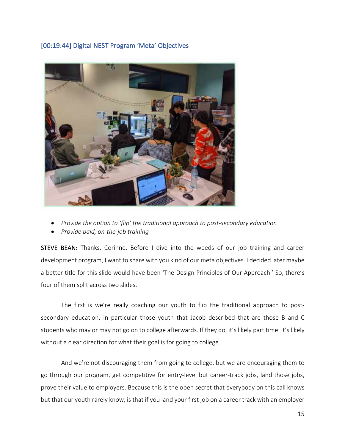### [00:19:44] Digital NEST Program 'Meta' Objectives



- *Provide the option to 'flip' the traditional approach to post-secondary education*
- *Provide paid, on-the-job training*

STEVE BEAN: Thanks, Corinne. Before I dive into the weeds of our job training and career development program, I want to share with you kind of our meta objectives. I decided later maybe a better title for this slide would have been 'The Design Principles of Our Approach.' So, there's four of them split across two slides.

The first is we're really coaching our youth to flip the traditional approach to postsecondary education, in particular those youth that Jacob described that are those B and C students who may or may not go on to college afterwards. If they do, it's likely part time. It's likely without a clear direction for what their goal is for going to college.

And we're not discouraging them from going to college, but we are encouraging them to go through our program, get competitive for entry-level but career-track jobs, land those jobs, prove their value to employers. Because this is the open secret that everybody on this call knows but that our youth rarely know, is that if you land your first job on a career track with an employer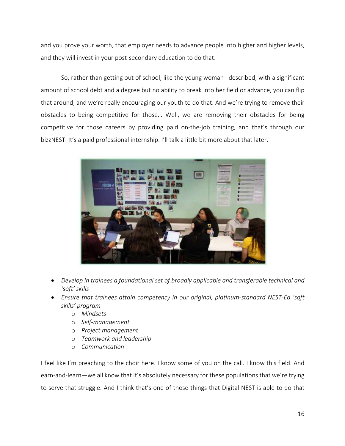and you prove your worth, that employer needs to advance people into higher and higher levels, and they will invest in your post-secondary education to do that.

So, rather than getting out of school, like the young woman I described, with a significant amount of school debt and a degree but no ability to break into her field or advance, you can flip that around, and we're really encouraging our youth to do that. And we're trying to remove their obstacles to being competitive for those… Well, we are removing their obstacles for being competitive for those careers by providing paid on-the-job training, and that's through our bizzNEST. It's a paid professional internship. I'll talk a little bit more about that later.



- *Develop in trainees a foundational set of broadly applicable and transferable technical and 'soft' skills*
- *Ensure that trainees attain competency in our original, platinum-standard NEST-Ed 'soft skills' program*
	- o *Mindsets*
	- o *Self-management*
	- o *Project management*
	- o *Teamwork and leadership*
	- o *Communication*

I feel like I'm preaching to the choir here. I know some of you on the call. I know this field. And earn-and-learn—we all know that it's absolutely necessary for these populations that we're trying to serve that struggle. And I think that's one of those things that Digital NEST is able to do that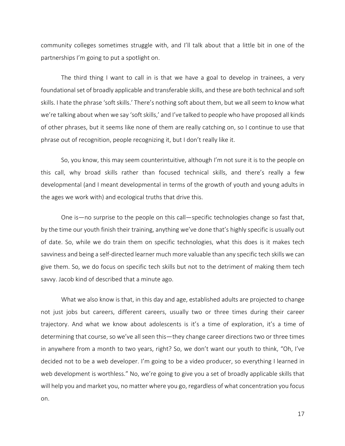community colleges sometimes struggle with, and I'll talk about that a little bit in one of the partnerships I'm going to put a spotlight on.

The third thing I want to call in is that we have a goal to develop in trainees, a very foundational set of broadly applicable and transferable skills, and these are both technical and soft skills. I hate the phrase 'soft skills.' There's nothing soft about them, but we all seem to know what we're talking about when we say 'soft skills,' and I've talked to people who have proposed all kinds of other phrases, but it seems like none of them are really catching on, so I continue to use that phrase out of recognition, people recognizing it, but I don't really like it.

So, you know, this may seem counterintuitive, although I'm not sure it is to the people on this call, why broad skills rather than focused technical skills, and there's really a few developmental (and I meant developmental in terms of the growth of youth and young adults in the ages we work with) and ecological truths that drive this.

One is—no surprise to the people on this call—specific technologies change so fast that, by the time our youth finish their training, anything we've done that's highly specific is usually out of date. So, while we do train them on specific technologies, what this does is it makes tech savviness and being a self-directed learner much more valuable than any specific tech skills we can give them. So, we do focus on specific tech skills but not to the detriment of making them tech savvy. Jacob kind of described that a minute ago.

What we also know is that, in this day and age, established adults are projected to change not just jobs but careers, different careers, usually two or three times during their career trajectory. And what we know about adolescents is it's a time of exploration, it's a time of determining that course, so we've all seen this—they change career directions two or three times in anywhere from a month to two years, right? So, we don't want our youth to think, "Oh, I've decided not to be a web developer. I'm going to be a video producer, so everything I learned in web development is worthless." No, we're going to give you a set of broadly applicable skills that will help you and market you, no matter where you go, regardless of what concentration you focus on.

17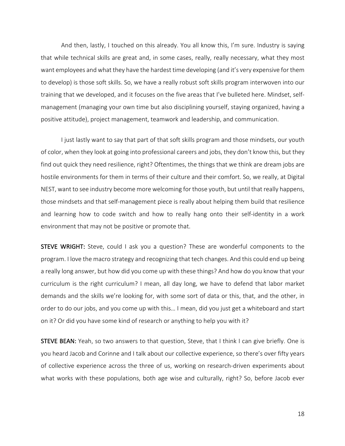And then, lastly, I touched on this already. You all know this, I'm sure. Industry is saying that while technical skills are great and, in some cases, really, really necessary, what they most want employees and what they have the hardest time developing (and it's very expensive for them to develop) is those soft skills. So, we have a really robust soft skills program interwoven into our training that we developed, and it focuses on the five areas that I've bulleted here. Mindset, selfmanagement (managing your own time but also disciplining yourself, staying organized, having a positive attitude), project management, teamwork and leadership, and communication.

I just lastly want to say that part of that soft skills program and those mindsets, our youth of color, when they look at going into professional careers and jobs, they don't know this, but they find out quick they need resilience, right? Oftentimes, the things that we think are dream jobs are hostile environments for them in terms of their culture and their comfort. So, we really, at Digital NEST, want to see industry become more welcoming for those youth, but until that really happens, those mindsets and that self-management piece is really about helping them build that resilience and learning how to code switch and how to really hang onto their self-identity in a work environment that may not be positive or promote that.

STEVE WRIGHT: Steve, could I ask you a question? These are wonderful components to the program. I love the macro strategy and recognizing that tech changes. And this could end up being a really long answer, but how did you come up with these things? And how do you know that your curriculum is the right curriculum? I mean, all day long, we have to defend that labor market demands and the skills we're looking for, with some sort of data or this, that, and the other, in order to do our jobs, and you come up with this… I mean, did you just get a whiteboard and start on it? Or did you have some kind of research or anything to help you with it?

STEVE BEAN: Yeah, so two answers to that question, Steve, that I think I can give briefly. One is you heard Jacob and Corinne and I talk about our collective experience, so there's over fifty years of collective experience across the three of us, working on research-driven experiments about what works with these populations, both age wise and culturally, right? So, before Jacob ever

18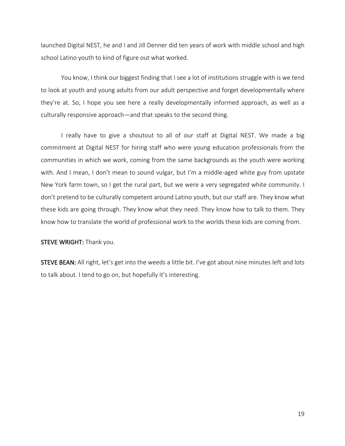launched Digital NEST, he and I and Jill Denner did ten years of work with middle school and high school Latino youth to kind of figure out what worked.

You know, I think our biggest finding that I see a lot of institutions struggle with is we tend to look at youth and young adults from our adult perspective and forget developmentally where they're at. So, I hope you see here a really developmentally informed approach, as well as a culturally responsive approach—and that speaks to the second thing.

I really have to give a shoutout to all of our staff at Digital NEST. We made a big commitment at Digital NEST for hiring staff who were young education professionals from the communities in which we work, coming from the same backgrounds as the youth were working with. And I mean, I don't mean to sound vulgar, but I'm a middle-aged white guy from upstate New York farm town, so I get the rural part, but we were a very segregated white community. I don't pretend to be culturally competent around Latino youth, but our staff are. They know what these kids are going through. They know what they need. They know how to talk to them. They know how to translate the world of professional work to the worlds these kids are coming from.

#### STEVE WRIGHT: Thank you.

STEVE BEAN: All right, let's get into the weeds a little bit. I've got about nine minutes left and lots to talk about. I tend to go on, but hopefully it's interesting.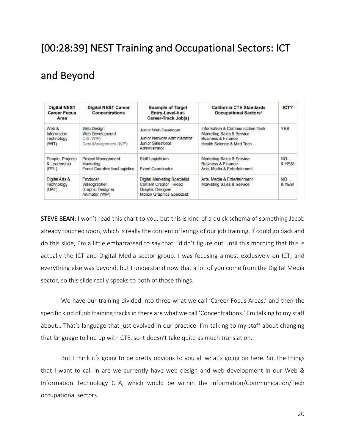## [00:28:39] NEST Training and Occupational Sectors: ICT

## and Beyond

| <b>Digital NEST</b><br><b>Career Focus</b><br>Area                                                                    | <b>Digital NEST Career</b><br>Concentrations                           | <b>Example of Target</b><br>Entry-Lovel-but-<br>Career-Track Job(s)                                       | <b>California CTE Standards</b><br><b>Occupational Sectors*</b>                                                  | ICT?                |  |
|-----------------------------------------------------------------------------------------------------------------------|------------------------------------------------------------------------|-----------------------------------------------------------------------------------------------------------|------------------------------------------------------------------------------------------------------------------|---------------------|--|
| Web &<br>Web Design<br>Information<br>Web Development<br>Technology<br>$CIS$ $(WP)$<br>Data Management (WIP)<br>(WIT) |                                                                        | Junior Web Developer<br><b>Junior Network Administrator</b><br>Junior Salesforce<br>Administrator         | Information & Communication Tech<br>Marketing Sales & Service<br>Business & Finance<br>Health Science & Med Tech | <b>YES</b><br>---   |  |
| People, Projects<br>& Leadership<br>(PPL)                                                                             | Project Management<br>Marketing<br><b>Event Coordination/Logistics</b> | Staff Logistician<br><b>Event Coordinator</b>                                                             | Marketing Sales & Service<br><b>Business &amp; Finance</b><br>Arts, Media & Entertainment                        | NO<br>& YES!        |  |
| Producer<br>Digital Arts &<br>Technology<br>Videographer<br>Graphic Designer<br>(DAT)<br>Animator (WIP)               |                                                                        | Digital Marketing Specialist<br>Content Creator - Video<br>Graphic Designer<br>Motion Graphics Specialist | Arts, Media & Entertainment<br>Marketing Sales & Service                                                         | <b>NO</b><br>& YES! |  |

**STEVE BEAN:** I won't read this chart to you, but this is kind of a quick schema of something Jacob already touched upon, which is really the content offerings of our job training. If could go back and do this slide, I'm a little embarrassed to say that I didn't figure out until this morning that this is actually the ICT and Digital Media sector group. I was focusing almost exclusively on ICT, and everything else was beyond, but I understand now that a lot of you come from the Digital Media sector, so this slide really speaks to both of those things.

We have our training divided into three what we call 'Career Focus Areas,' and then the specific kind of job training tracks in there are what we call 'Concentrations.' I'm talking to my staff about… That's language that just evolved in our practice. I'm talking to my staff about changing that language to line up with CTE, so it doesn't take quite as much translation.

But I think it's going to be pretty obvious to you all what's going on here. So, the things that I want to call in are we currently have web design and web development in our Web & Information Technology CFA, which would be within the Information/Communication/Tech occupational sectors.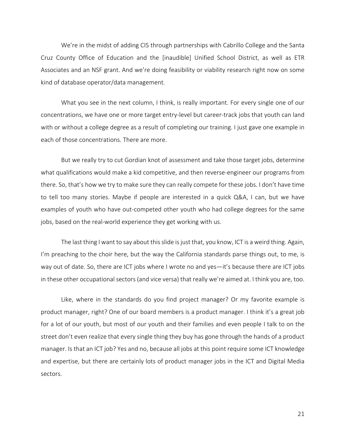We're in the midst of adding CIS through partnerships with Cabrillo College and the Santa Cruz County Office of Education and the [inaudible] Unified School District, as well as ETR Associates and an NSF grant. And we're doing feasibility or viability research right now on some kind of database operator/data management.

What you see in the next column, I think, is really important. For every single one of our concentrations, we have one or more target entry-level but career-track jobs that youth can land with or without a college degree as a result of completing our training. I just gave one example in each of those concentrations. There are more.

But we really try to cut Gordian knot of assessment and take those target jobs, determine what qualifications would make a kid competitive, and then reverse-engineer our programs from there. So, that's how we try to make sure they can really compete for these jobs. I don't have time to tell too many stories. Maybe if people are interested in a quick Q&A, I can, but we have examples of youth who have out-competed other youth who had college degrees for the same jobs, based on the real-world experience they get working with us.

The last thing I want to say about this slide is just that, you know, ICT is a weird thing. Again, I'm preaching to the choir here, but the way the California standards parse things out, to me, is way out of date. So, there are ICT jobs where I wrote no and yes—it's because there are ICT jobs in these other occupational sectors (and vice versa) that really we're aimed at. I think you are, too.

Like, where in the standards do you find project manager? Or my favorite example is product manager, right? One of our board members is a product manager. I think it's a great job for a lot of our youth, but most of our youth and their families and even people I talk to on the street don't even realize that every single thing they buy has gone through the hands of a product manager. Is that an ICT job? Yes and no, because all jobs at this point require some ICT knowledge and expertise, but there are certainly lots of product manager jobs in the ICT and Digital Media sectors.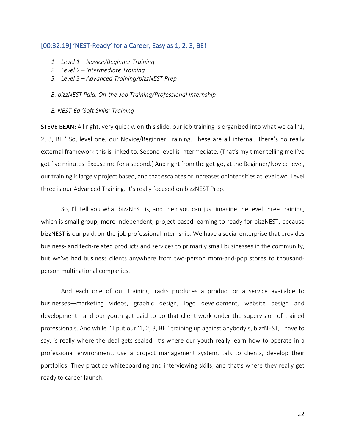#### [00:32:19] 'NEST-Ready' for a Career, Easy as 1, 2, 3, BE!

- *1. Level 1 – Novice/Beginner Training*
- *2. Level 2 – Intermediate Training*
- *3. Level 3 – Advanced Training/bizzNEST Prep*

#### *B. bizzNEST Paid, On-the-Job Training/Professional Internship*

*E. NEST-Ed 'Soft Skills' Training*

STEVE BEAN: All right, very quickly, on this slide, our job training is organized into what we call '1, 2, 3, BE!' So, level one, our Novice/Beginner Training. These are all internal. There's no really external framework this is linked to. Second level is Intermediate. (That's my timer telling me I've got five minutes. Excuse me for a second.) And right from the get-go, at the Beginner/Novice level, our training is largely project based, and that escalates or increases or intensifies at level two. Level three is our Advanced Training. It's really focused on bizzNEST Prep.

So, I'll tell you what bizzNEST is, and then you can just imagine the level three training, which is small group, more independent, project-based learning to ready for bizzNEST, because bizzNEST is our paid, on-the-job professional internship. We have a social enterprise that provides business- and tech-related products and services to primarily small businesses in the community, but we've had business clients anywhere from two-person mom-and-pop stores to thousandperson multinational companies.

And each one of our training tracks produces a product or a service available to businesses—marketing videos, graphic design, logo development, website design and development—and our youth get paid to do that client work under the supervision of trained professionals. And while I'll put our '1, 2, 3, BE!' training up against anybody's, bizzNEST, I have to say, is really where the deal gets sealed. It's where our youth really learn how to operate in a professional environment, use a project management system, talk to clients, develop their portfolios. They practice whiteboarding and interviewing skills, and that's where they really get ready to career launch.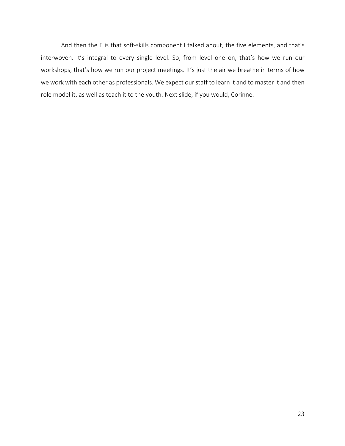And then the E is that soft-skills component I talked about, the five elements, and that's interwoven. It's integral to every single level. So, from level one on, that's how we run our workshops, that's how we run our project meetings. It's just the air we breathe in terms of how we work with each other as professionals. We expect our staff to learn it and to master it and then role model it, as well as teach it to the youth. Next slide, if you would, Corinne.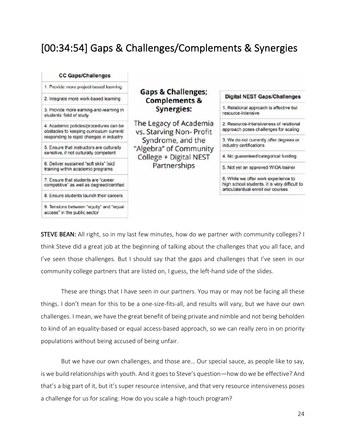## [00:34:54] Gaps & Challenges/Complements & Synergies

#### **CC Gaps/Challenges**

1. Provide more project-based learning

2. Integrate more work-based learning

3. Provide more earning-and-learning in students' field of study

4. Academic policies/procedures can be obstacles to keeping curriculum current/ responding to rapid changes in industry

5. Ensure that instructors are culturally sensitive, if not culturally competent

6. Deliver sustained "soft skils" [sic] training within academic programs

7. Ensure that students are "career competitive' as well as degreed/certified

8. Ensure students launch their careers

9. Tensions between "equity" and "equal access" in the public sector

### **Gaps & Challenges;** Complements & Synergies:

The Legacy of Academia vs. Starving Non-Profit Syndrome, and the "Algebra" of Community College + Digital NEST Partnerships

#### **Digital NEST Gaps/Challenges**

1. Relational approach is effective but resource-intensive

2. Resource-intensiveness of relational approach poses challenges for scaling

3. We do not currently offer degrees or industry certifications

4. No guaranteed/categorical funding

5. Not yet an approved WIOA trainer

6. While we offer work experience to high school students, it is very difficult to articulate/dual-enroil our courses

STEVE BEAN: All right, so in my last few minutes, how do we partner with community colleges? I think Steve did a great job at the beginning of talking about the challenges that you all face, and I've seen those challenges. But I should say that the gaps and challenges that I've seen in our community college partners that are listed on, I guess, the left-hand side of the slides.

These are things that I have seen in our partners. You may or may not be facing all these things. I don't mean for this to be a one-size-fits-all, and results will vary, but we have our own challenges. I mean, we have the great benefit of being private and nimble and not being beholden to kind of an equality-based or equal access-based approach, so we can really zero in on priority populations without being accused of being unfair.

But we have our own challenges, and those are… Our special sauce, as people like to say, is we build relationships with youth. And it goes to Steve's question—how do we be effective? And that's a big part of it, but it's super resource intensive, and that very resource intensiveness poses a challenge for us for scaling. How do you scale a high-touch program?

24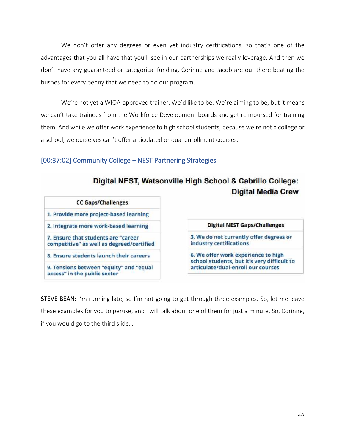We don't offer any degrees or even yet industry certifications, so that's one of the advantages that you all have that you'll see in our partnerships we really leverage. And then we don't have any guaranteed or categorical funding. Corinne and Jacob are out there beating the bushes for every penny that we need to do our program.

We're not yet a WIOA-approved trainer. We'd like to be. We're aiming to be, but it means we can't take trainees from the Workforce Development boards and get reimbursed for training them. And while we offer work experience to high school students, because we're not a college or a school, we ourselves can't offer articulated or dual enrollment courses.

### [00:37:02] Community College + NEST Partnering Strategies

| Digital NEST, Watsonville High School & Cabrillo College: |  |  |                           |  |
|-----------------------------------------------------------|--|--|---------------------------|--|
|                                                           |  |  | <b>Digital Media Crew</b> |  |

| <b>CC Gaps/Challenges</b>                                                        |                                                                                    |  |  |  |
|----------------------------------------------------------------------------------|------------------------------------------------------------------------------------|--|--|--|
| 1. Provide more project-based learning                                           |                                                                                    |  |  |  |
| 2. Integrate more work-based learning                                            | <b>Digital NEST Gaps/Challenges</b>                                                |  |  |  |
| 7. Ensure that students are "career<br>competitive" as well as degreed/certified | 3. We do not currently offer degrees or<br>industry certifications                 |  |  |  |
| 8. Ensure students launch their careers                                          | 6. We offer work experience to high<br>school students, but it's very difficult to |  |  |  |
| 9. Tensions between "equity" and "equal<br>access" in the public sector          | articulate/dual-enroll our courses                                                 |  |  |  |

STEVE BEAN: I'm running late, so I'm not going to get through three examples. So, let me leave these examples for you to peruse, and I will talk about one of them for just a minute. So, Corinne, if you would go to the third slide…

to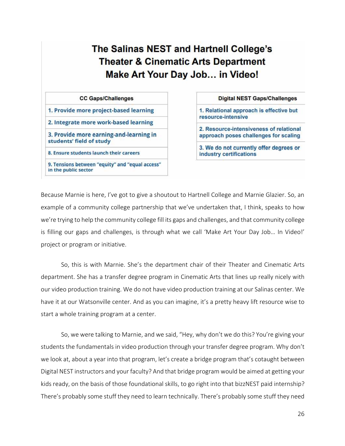The Salinas NEST and Hartnell College's **Theater & Cinematic Arts Department** Make Art Your Day Job... in Video!

#### **CC Gaps/Challenges**

1. Provide more project-based learning

2. Integrate more work-based learning

3. Provide more earning-and-learning in students' field of study

8. Ensure students launch their careers

9. Tensions between "equity" and "equal access" in the public sector

#### **Digital NEST Gaps/Challenges**

1. Relational approach is effective but resource-intensive

2. Resource-intensiveness of relational approach poses challenges for scaling

3. We do not currently offer degrees or industry certifications

Because Marnie is here, I've got to give a shoutout to Hartnell College and Marnie Glazier. So, an example of a community college partnership that we've undertaken that, I think, speaks to how we're trying to help the community college fill its gaps and challenges, and that community college is filling our gaps and challenges, is through what we call 'Make Art Your Day Job... In Video!' project or program or initiative.

So, this is with Marnie. She's the department chair of their Theater and Cinematic Arts department. She has a transfer degree program in Cinematic Arts that lines up really nicely with our video production training. We do not have video production training at our Salinas center. We have it at our Watsonville center. And as you can imagine, it's a pretty heavy lift resource wise to start a whole training program at a center.

So, we were talking to Marnie, and we said, "Hey, why don't we do this? You're giving your students the fundamentals in video production through your transfer degree program. Why don't we look at, about a year into that program, let's create a bridge program that's cotaught between Digital NEST instructors and your faculty? And that bridge program would be aimed at getting your kids ready, on the basis of those foundational skills, to go right into that bizzNEST paid internship? There's probably some stuff they need to learn technically. There's probably some stuff they need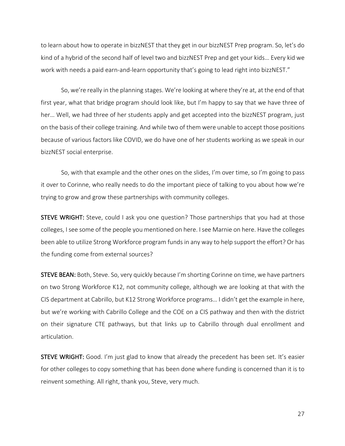to learn about how to operate in bizzNEST that they get in our bizzNEST Prep program. So, let's do kind of a hybrid of the second half of level two and bizzNEST Prep and get your kids… Every kid we work with needs a paid earn-and-learn opportunity that's going to lead right into bizzNEST."

So, we're really in the planning stages. We're looking at where they're at, at the end of that first year, what that bridge program should look like, but I'm happy to say that we have three of her... Well, we had three of her students apply and get accepted into the bizzNEST program, just on the basis of their college training. And while two of them were unable to accept those positions because of various factors like COVID, we do have one of her students working as we speak in our bizzNEST social enterprise.

So, with that example and the other ones on the slides, I'm over time, so I'm going to pass it over to Corinne, who really needs to do the important piece of talking to you about how we're trying to grow and grow these partnerships with community colleges.

STEVE WRIGHT: Steve, could I ask you one question? Those partnerships that you had at those colleges, I see some of the people you mentioned on here. I see Marnie on here. Have the colleges been able to utilize Strong Workforce program funds in any way to help support the effort? Or has the funding come from external sources?

STEVE BEAN: Both, Steve. So, very quickly because I'm shorting Corinne on time, we have partners on two Strong Workforce K12, not community college, although we are looking at that with the CIS department at Cabrillo, but K12 Strong Workforce programs… I didn't get the example in here, but we're working with Cabrillo College and the COE on a CIS pathway and then with the district on their signature CTE pathways, but that links up to Cabrillo through dual enrollment and articulation.

STEVE WRIGHT: Good. I'm just glad to know that already the precedent has been set. It's easier for other colleges to copy something that has been done where funding is concerned than it is to reinvent something. All right, thank you, Steve, very much.

27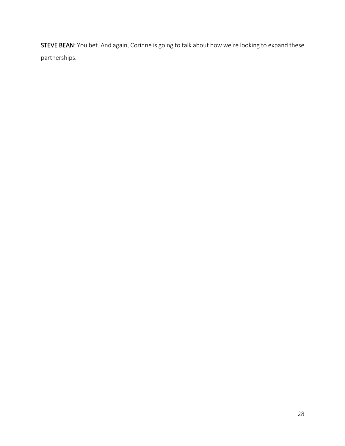STEVE BEAN: You bet. And again, Corinne is going to talk about how we're looking to expand these partnerships.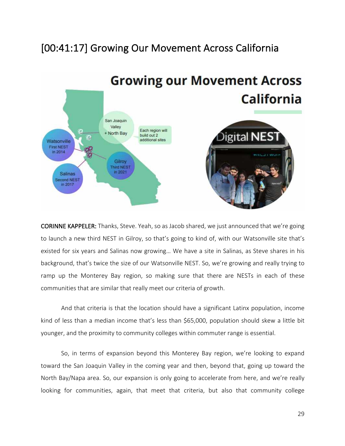## [00:41:17] Growing Our Movement Across California



CORINNE KAPPELER: Thanks, Steve. Yeah, so as Jacob shared, we just announced that we're going to launch a new third NEST in Gilroy, so that's going to kind of, with our Watsonville site that's existed for six years and Salinas now growing… We have a site in Salinas, as Steve shares in his background, that's twice the size of our Watsonville NEST. So, we're growing and really trying to ramp up the Monterey Bay region, so making sure that there are NESTs in each of these communities that are similar that really meet our criteria of growth.

And that criteria is that the location should have a significant Latinx population, income kind of less than a median income that's less than \$65,000, population should skew a little bit younger, and the proximity to community colleges within commuter range is essential.

So, in terms of expansion beyond this Monterey Bay region, we're looking to expand toward the San Joaquin Valley in the coming year and then, beyond that, going up toward the North Bay/Napa area. So, our expansion is only going to accelerate from here, and we're really looking for communities, again, that meet that criteria, but also that community college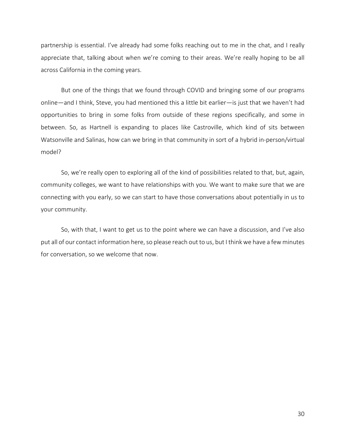partnership is essential. I've already had some folks reaching out to me in the chat, and I really appreciate that, talking about when we're coming to their areas. We're really hoping to be all across California in the coming years.

But one of the things that we found through COVID and bringing some of our programs online—and I think, Steve, you had mentioned this a little bit earlier—is just that we haven't had opportunities to bring in some folks from outside of these regions specifically, and some in between. So, as Hartnell is expanding to places like Castroville, which kind of sits between Watsonville and Salinas, how can we bring in that community in sort of a hybrid in-person/virtual model?

So, we're really open to exploring all of the kind of possibilities related to that, but, again, community colleges, we want to have relationships with you. We want to make sure that we are connecting with you early, so we can start to have those conversations about potentially in us to your community.

So, with that, I want to get us to the point where we can have a discussion, and I've also put all of our contact information here, so please reach out to us, but I think we have a few minutes for conversation, so we welcome that now.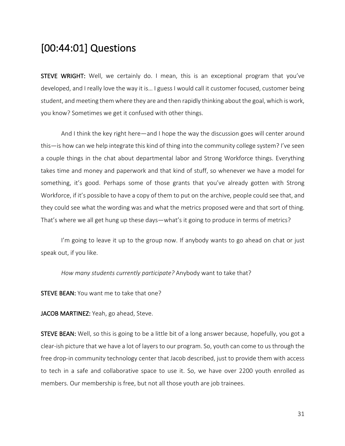## [00:44:01] Questions

STEVE WRIGHT: Well, we certainly do. I mean, this is an exceptional program that you've developed, and I really love the way it is… I guess I would call it customer focused, customer being student, and meeting them where they are and then rapidly thinking about the goal, which is work, you know? Sometimes we get it confused with other things.

And I think the key right here—and I hope the way the discussion goes will center around this—is how can we help integrate this kind of thing into the community college system? I've seen a couple things in the chat about departmental labor and Strong Workforce things. Everything takes time and money and paperwork and that kind of stuff, so whenever we have a model for something, it's good. Perhaps some of those grants that you've already gotten with Strong Workforce, if it's possible to have a copy of them to put on the archive, people could see that, and they could see what the wording was and what the metrics proposed were and that sort of thing. That's where we all get hung up these days—what's it going to produce in terms of metrics?

I'm going to leave it up to the group now. If anybody wants to go ahead on chat or just speak out, if you like.

*How many students currently participate?* Anybody want to take that?

STEVE BEAN: You want me to take that one?

JACOB MARTINEZ: Yeah, go ahead, Steve.

STEVE BEAN: Well, so this is going to be a little bit of a long answer because, hopefully, you got a clear-ish picture that we have a lot of layers to our program. So, youth can come to us through the free drop-in community technology center that Jacob described, just to provide them with access to tech in a safe and collaborative space to use it. So, we have over 2200 youth enrolled as members. Our membership is free, but not all those youth are job trainees.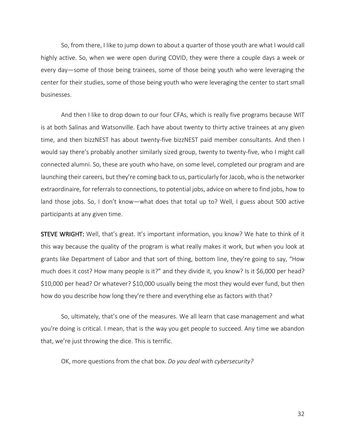So, from there, I like to jump down to about a quarter of those youth are what I would call highly active. So, when we were open during COVID, they were there a couple days a week or every day—some of those being trainees, some of those being youth who were leveraging the center for their studies, some of those being youth who were leveraging the center to start small businesses.

And then I like to drop down to our four CFAs, which is really five programs because WIT is at both Salinas and Watsonville. Each have about twenty to thirty active trainees at any given time, and then bizzNEST has about twenty-five bizzNEST paid member consultants. And then I would say there's probably another similarly sized group, twenty to twenty-five, who I might call connected alumni. So, these are youth who have, on some level, completed our program and are launching their careers, but they're coming back to us, particularly for Jacob, who is the networker extraordinaire, for referrals to connections, to potential jobs, advice on where to find jobs, how to land those jobs. So, I don't know—what does that total up to? Well, I guess about 500 active participants at any given time.

STEVE WRIGHT: Well, that's great. It's important information, you know? We hate to think of it this way because the quality of the program is what really makes it work, but when you look at grants like Department of Labor and that sort of thing, bottom line, they're going to say, "How much does it cost? How many people is it?" and they divide it, you know? Is it \$6,000 per head? \$10,000 per head? Or whatever? \$10,000 usually being the most they would ever fund, but then how do you describe how long they're there and everything else as factors with that?

So, ultimately, that's one of the measures. We all learn that case management and what you're doing is critical. I mean, that is the way you get people to succeed. Any time we abandon that, we're just throwing the dice. This is terrific.

OK, more questions from the chat box. *Do you deal with cybersecurity?*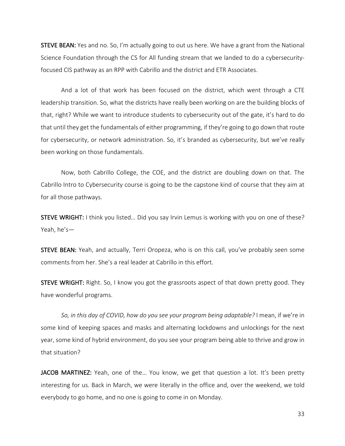STEVE BEAN: Yes and no. So, I'm actually going to out us here. We have a grant from the National Science Foundation through the CS for All funding stream that we landed to do a cybersecurityfocused CIS pathway as an RPP with Cabrillo and the district and ETR Associates.

And a lot of that work has been focused on the district, which went through a CTE leadership transition. So, what the districts have really been working on are the building blocks of that, right? While we want to introduce students to cybersecurity out of the gate, it's hard to do that until they get the fundamentals of either programming, if they're going to go down that route for cybersecurity, or network administration. So, it's branded as cybersecurity, but we've really been working on those fundamentals.

Now, both Cabrillo College, the COE, and the district are doubling down on that. The Cabrillo Intro to Cybersecurity course is going to be the capstone kind of course that they aim at for all those pathways.

STEVE WRIGHT: I think you listed… Did you say Irvin Lemus is working with you on one of these? Yeah, he's—

STEVE BEAN: Yeah, and actually, Terri Oropeza, who is on this call, you've probably seen some comments from her. She's a real leader at Cabrillo in this effort.

STEVE WRIGHT: Right. So, I know you got the grassroots aspect of that down pretty good. They have wonderful programs.

*So, in this day of COVID, how do you see your program being adaptable?* I mean, if we're in some kind of keeping spaces and masks and alternating lockdowns and unlockings for the next year, some kind of hybrid environment, do you see your program being able to thrive and grow in that situation?

JACOB MARTINEZ: Yeah, one of the... You know, we get that question a lot. It's been pretty interesting for us. Back in March, we were literally in the office and, over the weekend, we told everybody to go home, and no one is going to come in on Monday.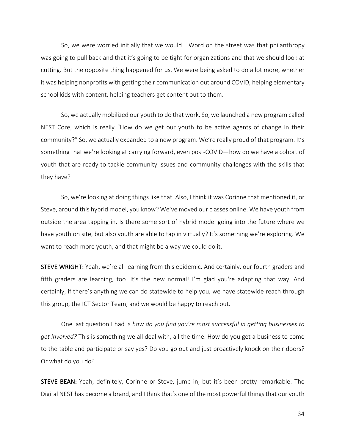So, we were worried initially that we would… Word on the street was that philanthropy was going to pull back and that it's going to be tight for organizations and that we should look at cutting. But the opposite thing happened for us. We were being asked to do a lot more, whether it was helping nonprofits with getting their communication out around COVID, helping elementary school kids with content, helping teachers get content out to them.

So, we actually mobilized our youth to do that work. So, we launched a new program called NEST Core, which is really "How do we get our youth to be active agents of change in their community?" So, we actually expanded to a new program. We're really proud of that program. It's something that we're looking at carrying forward, even post-COVID—how do we have a cohort of youth that are ready to tackle community issues and community challenges with the skills that they have?

So, we're looking at doing things like that. Also, I think it was Corinne that mentioned it, or Steve, around this hybrid model, you know? We've moved our classes online. We have youth from outside the area tapping in. Is there some sort of hybrid model going into the future where we have youth on site, but also youth are able to tap in virtually? It's something we're exploring. We want to reach more youth, and that might be a way we could do it.

STEVE WRIGHT: Yeah, we're all learning from this epidemic. And certainly, our fourth graders and fifth graders are learning, too. It's the new normal! I'm glad you're adapting that way. And certainly, if there's anything we can do statewide to help you, we have statewide reach through this group, the ICT Sector Team, and we would be happy to reach out.

One last question I had is *how do you find you're most successful in getting businesses to get involved?* This is something we all deal with, all the time. How do you get a business to come to the table and participate or say yes? Do you go out and just proactively knock on their doors? Or what do you do?

STEVE BEAN: Yeah, definitely, Corinne or Steve, jump in, but it's been pretty remarkable. The Digital NEST has become a brand, and I think that's one of the most powerful things that our youth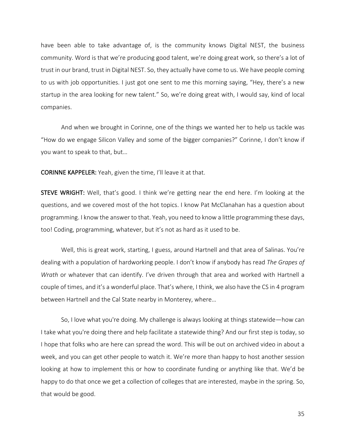have been able to take advantage of, is the community knows Digital NEST, the business community. Word is that we're producing good talent, we're doing great work, so there's a lot of trust in our brand, trust in Digital NEST. So, they actually have come to us. We have people coming to us with job opportunities. I just got one sent to me this morning saying, "Hey, there's a new startup in the area looking for new talent." So, we're doing great with, I would say, kind of local companies.

And when we brought in Corinne, one of the things we wanted her to help us tackle was "How do we engage Silicon Valley and some of the bigger companies?" Corinne, I don't know if you want to speak to that, but…

CORINNE KAPPELER: Yeah, given the time, I'll leave it at that.

STEVE WRIGHT: Well, that's good. I think we're getting near the end here. I'm looking at the questions, and we covered most of the hot topics. I know Pat McClanahan has a question about programming. I know the answer to that. Yeah, you need to know a little programming these days, too! Coding, programming, whatever, but it's not as hard as it used to be.

Well, this is great work, starting, I guess, around Hartnell and that area of Salinas. You're dealing with a population of hardworking people. I don't know if anybody has read *The Grapes of Wrath* or whatever that can identify. I've driven through that area and worked with Hartnell a couple of times, and it's a wonderful place. That's where, I think, we also have the CS in 4 program between Hartnell and the Cal State nearby in Monterey, where…

So, I love what you're doing. My challenge is always looking at things statewide—how can I take what you're doing there and help facilitate a statewide thing? And our first step is today, so I hope that folks who are here can spread the word. This will be out on archived video in about a week, and you can get other people to watch it. We're more than happy to host another session looking at how to implement this or how to coordinate funding or anything like that. We'd be happy to do that once we get a collection of colleges that are interested, maybe in the spring. So, that would be good.